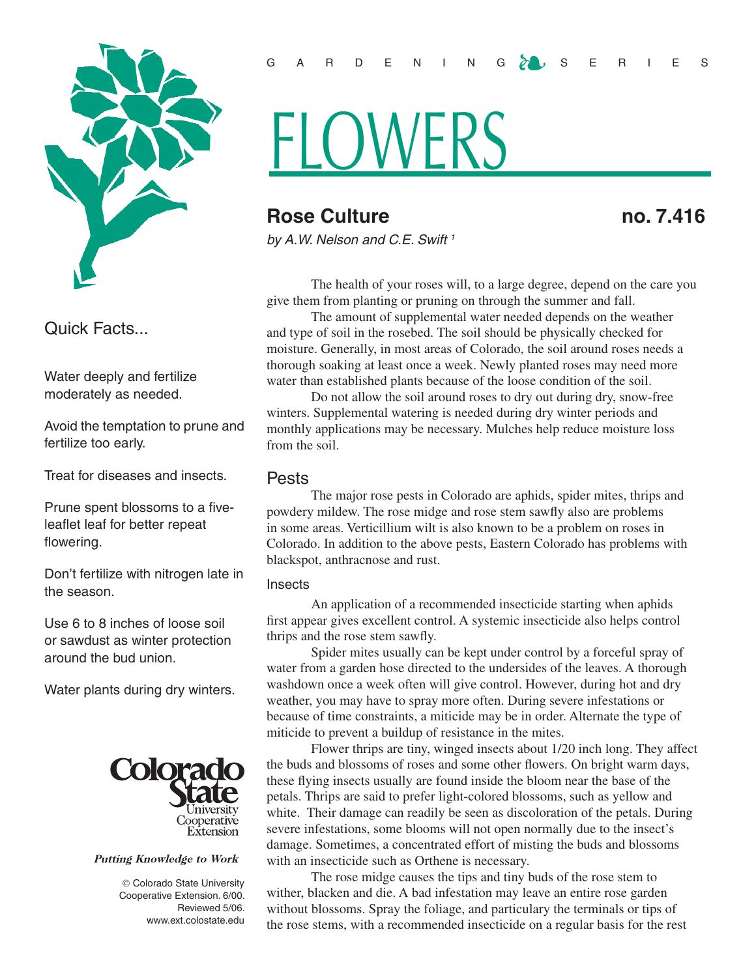

Quick Facts...

Water deeply and fertilize moderately as needed.

Avoid the temptation to prune and fertilize too early.

Treat for diseases and insects.

Prune spent blossoms to a fiveleaflet leaf for better repeat flowering.

Don't fertilize with nitrogen late in the season.

Use 6 to 8 inches of loose soil or sawdust as winter protection around the bud union.

Water plants during dry winters.



#### Putting Knowledge to Work

 Colorado State University Cooperative Extension. 6/00. Reviewed 5/06. www.ext.colostate.edu

#### GARDENING ZUS ERIES

# **HLOWERS**

## **Rose Culture no. 7.416**

*by A.W. Nelson and C.E. Swift 1*

The health of your roses will, to a large degree, depend on the care you give them from planting or pruning on through the summer and fall.

The amount of supplemental water needed depends on the weather and type of soil in the rosebed. The soil should be physically checked for moisture. Generally, in most areas of Colorado, the soil around roses needs a thorough soaking at least once a week. Newly planted roses may need more water than established plants because of the loose condition of the soil.

Do not allow the soil around roses to dry out during dry, snow-free winters. Supplemental watering is needed during dry winter periods and monthly applications may be necessary. Mulches help reduce moisture loss from the soil.

#### Pests

The major rose pests in Colorado are aphids, spider mites, thrips and powdery mildew. The rose midge and rose stem sawfly also are problems in some areas. Verticillium wilt is also known to be a problem on roses in Colorado. In addition to the above pests, Eastern Colorado has problems with blackspot, anthracnose and rust.

#### **Insects**

An application of a recommended insecticide starting when aphids first appear gives excellent control. A systemic insecticide also helps control thrips and the rose stem sawfly.

Spider mites usually can be kept under control by a forceful spray of water from a garden hose directed to the undersides of the leaves. A thorough washdown once a week often will give control. However, during hot and dry weather, you may have to spray more often. During severe infestations or because of time constraints, a miticide may be in order. Alternate the type of miticide to prevent a buildup of resistance in the mites.

Flower thrips are tiny, winged insects about 1/20 inch long. They affect the buds and blossoms of roses and some other flowers. On bright warm days, these flying insects usually are found inside the bloom near the base of the petals. Thrips are said to prefer light-colored blossoms, such as yellow and white. Their damage can readily be seen as discoloration of the petals. During severe infestations, some blooms will not open normally due to the insect's damage. Sometimes, a concentrated effort of misting the buds and blossoms with an insecticide such as Orthene is necessary.

The rose midge causes the tips and tiny buds of the rose stem to wither, blacken and die. A bad infestation may leave an entire rose garden without blossoms. Spray the foliage, and particulary the terminals or tips of the rose stems, with a recommended insecticide on a regular basis for the rest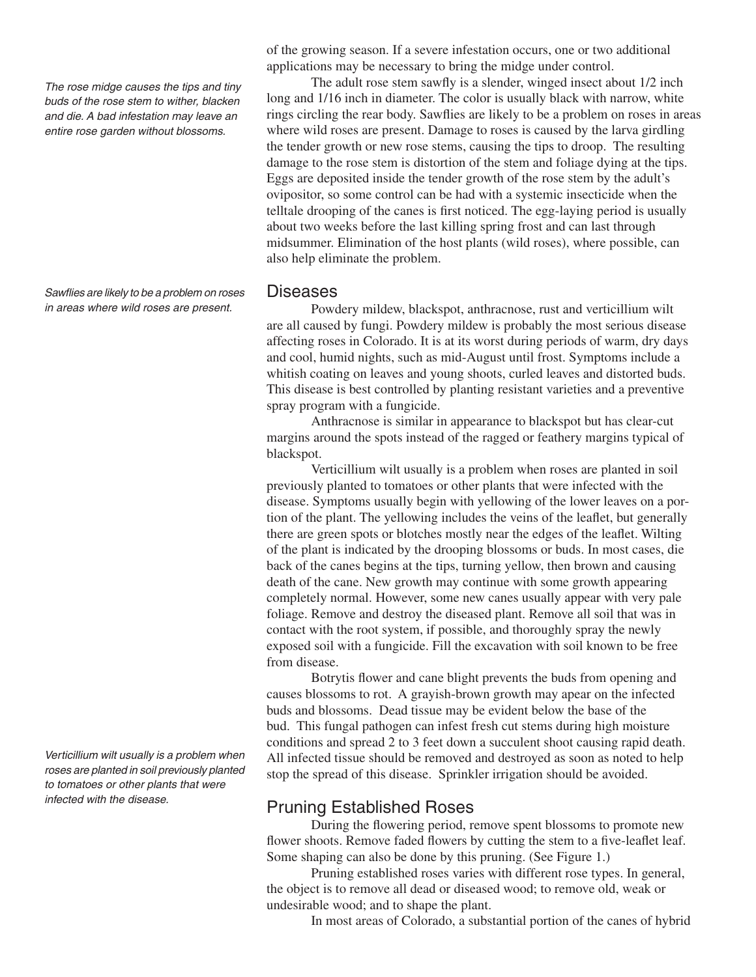*The rose midge causes the tips and tiny buds of the rose stem to wither, blacken and die. A bad infestation may leave an entire rose garden without blossoms.*

*Sawflies are likely to be a problem on roses in areas where wild roses are present.*

*Verticillium wilt usually is a problem when roses are planted in soil previously planted to tomatoes or other plants that were infected with the disease.*

of the growing season. If a severe infestation occurs, one or two additional applications may be necessary to bring the midge under control.

The adult rose stem sawfly is a slender, winged insect about 1/2 inch long and  $1/16$  inch in diameter. The color is usually black with narrow, white rings circling the rear body. Sawflies are likely to be a problem on roses in areas where wild roses are present. Damage to roses is caused by the larva girdling the tender growth or new rose stems, causing the tips to droop. The resulting damage to the rose stem is distortion of the stem and foliage dying at the tips. Eggs are deposited inside the tender growth of the rose stem by the adult's ovipositor, so some control can be had with a systemic insecticide when the telltale drooping of the canes is first noticed. The egg-laying period is usually about two weeks before the last killing spring frost and can last through midsummer. Elimination of the host plants (wild roses), where possible, can also help eliminate the problem.

#### Diseases

Powdery mildew, blackspot, anthracnose, rust and verticillium wilt are all caused by fungi. Powdery mildew is probably the most serious disease affecting roses in Colorado. It is at its worst during periods of warm, dry days and cool, humid nights, such as mid-August until frost. Symptoms include a whitish coating on leaves and young shoots, curled leaves and distorted buds. This disease is best controlled by planting resistant varieties and a preventive spray program with a fungicide.

Anthracnose is similar in appearance to blackspot but has clear-cut margins around the spots instead of the ragged or feathery margins typical of blackspot.

Verticillium wilt usually is a problem when roses are planted in soil previously planted to tomatoes or other plants that were infected with the disease. Symptoms usually begin with yellowing of the lower leaves on a portion of the plant. The yellowing includes the veins of the leaflet, but generally there are green spots or blotches mostly near the edges of the leaflet. Wilting of the plant is indicated by the drooping blossoms or buds. In most cases, die back of the canes begins at the tips, turning yellow, then brown and causing death of the cane. New growth may continue with some growth appearing completely normal. However, some new canes usually appear with very pale foliage. Remove and destroy the diseased plant. Remove all soil that was in contact with the root system, if possible, and thoroughly spray the newly exposed soil with a fungicide. Fill the excavation with soil known to be free from disease.

Botrytis flower and cane blight prevents the buds from opening and causes blossoms to rot. A grayish-brown growth may apear on the infected buds and blossoms. Dead tissue may be evident below the base of the bud. This fungal pathogen can infest fresh cut stems during high moisture conditions and spread 2 to 3 feet down a succulent shoot causing rapid death. All infected tissue should be removed and destroyed as soon as noted to help stop the spread of this disease. Sprinkler irrigation should be avoided.

### Pruning Established Roses

During the flowering period, remove spent blossoms to promote new flower shoots. Remove faded flowers by cutting the stem to a five-leaflet leaf. Some shaping can also be done by this pruning. (See Figure 1.)

Pruning established roses varies with different rose types. In general, the object is to remove all dead or diseased wood; to remove old, weak or undesirable wood; and to shape the plant.

In most areas of Colorado, a substantial portion of the canes of hybrid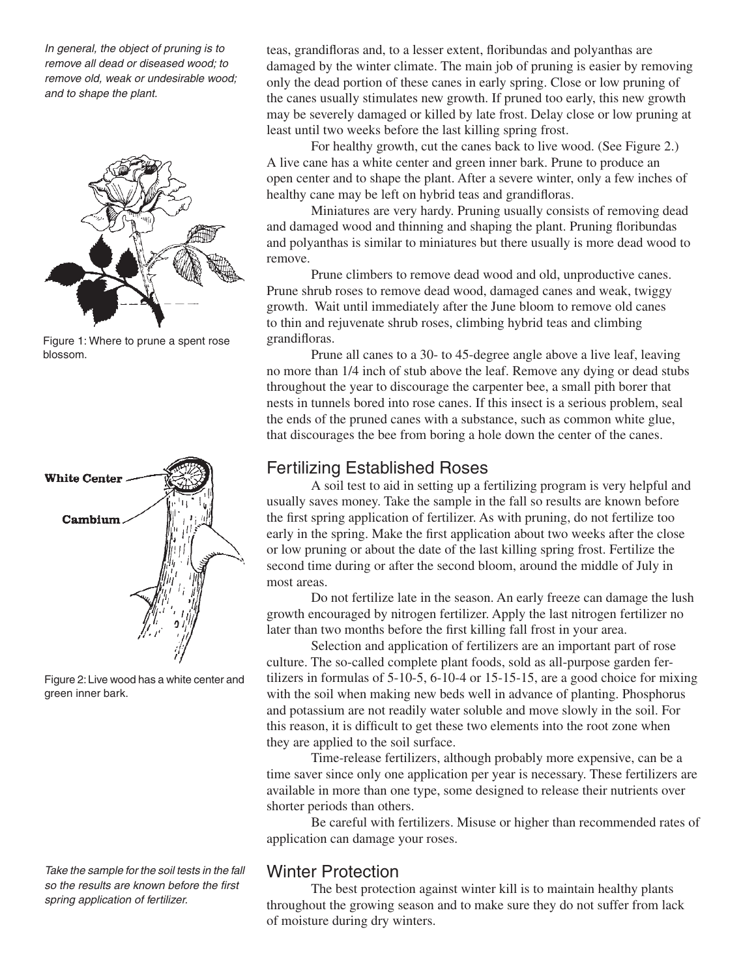*In general, the object of pruning is to remove all dead or diseased wood; to remove old, weak or undesirable wood; and to shape the plant.* 



Figure 1: Where to prune a spent rose blossom.



Figure 2: Live wood has a white center and green inner bark.

*Take the sample for the soil tests in the fall so the results are known before the first spring application of fertilizer.*

teas, grandifloras and, to a lesser extent, floribundas and polyanthas are damaged by the winter climate. The main job of pruning is easier by removing only the dead portion of these canes in early spring. Close or low pruning of the canes usually stimulates new growth. If pruned too early, this new growth may be severely damaged or killed by late frost. Delay close or low pruning at least until two weeks before the last killing spring frost.

For healthy growth, cut the canes back to live wood. (See Figure 2.) A live cane has a white center and green inner bark. Prune to produce an open center and to shape the plant. After a severe winter, only a few inches of healthy cane may be left on hybrid teas and grandifloras.

Miniatures are very hardy. Pruning usually consists of removing dead and damaged wood and thinning and shaping the plant. Pruning floribundas and polyanthas is similar to miniatures but there usually is more dead wood to remove.

Prune climbers to remove dead wood and old, unproductive canes. Prune shrub roses to remove dead wood, damaged canes and weak, twiggy growth. Wait until immediately after the June bloom to remove old canes to thin and rejuvenate shrub roses, climbing hybrid teas and climbing grandifloras.

Prune all canes to a 30- to 45-degree angle above a live leaf, leaving no more than 1/4 inch of stub above the leaf. Remove any dying or dead stubs throughout the year to discourage the carpenter bee, a small pith borer that nests in tunnels bored into rose canes. If this insect is a serious problem, seal the ends of the pruned canes with a substance, such as common white glue, that discourages the bee from boring a hole down the center of the canes.

## Fertilizing Established Roses

A soil test to aid in setting up a fertilizing program is very helpful and usually saves money. Take the sample in the fall so results are known before the first spring application of fertilizer. As with pruning, do not fertilize too early in the spring. Make the first application about two weeks after the close or low pruning or about the date of the last killing spring frost. Fertilize the second time during or after the second bloom, around the middle of July in most areas.

Do not fertilize late in the season. An early freeze can damage the lush growth encouraged by nitrogen fertilizer. Apply the last nitrogen fertilizer no later than two months before the first killing fall frost in your area.

Selection and application of fertilizers are an important part of rose culture. The so-called complete plant foods, sold as all-purpose garden fertilizers in formulas of 5-10-5, 6-10-4 or 15-15-15, are a good choice for mixing with the soil when making new beds well in advance of planting. Phosphorus and potassium are not readily water soluble and move slowly in the soil. For this reason, it is difficult to get these two elements into the root zone when they are applied to the soil surface.

Time-release fertilizers, although probably more expensive, can be a time saver since only one application per year is necessary. These fertilizers are available in more than one type, some designed to release their nutrients over shorter periods than others.

Be careful with fertilizers. Misuse or higher than recommended rates of application can damage your roses.

## Winter Protection

The best protection against winter kill is to maintain healthy plants throughout the growing season and to make sure they do not suffer from lack of moisture during dry winters.